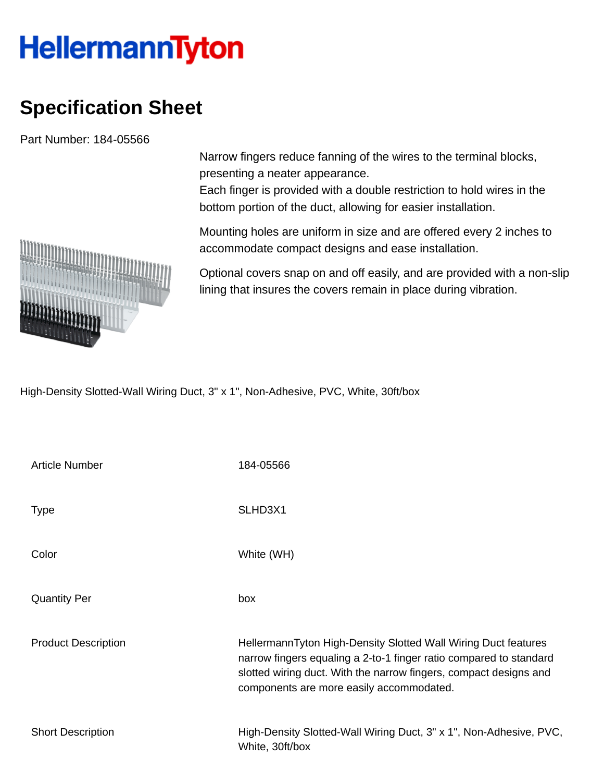## **HellermannTyton**

## **Specification Sheet**

Part Number: 184-05566

Narrow fingers reduce fanning of the wires to the terminal blocks, presenting a neater appearance.

Each finger is provided with a double restriction to hold wires in the bottom portion of the duct, allowing for easier installation.

Mounting holes are uniform in size and are offered every 2 inches to accommodate compact designs and ease installation.

Optional covers snap on and off easily, and are provided with a non-slip lining that insures the covers remain in place during vibration.

High-Density Slotted-Wall Wiring Duct, 3" x 1", Non-Adhesive, PVC, White, 30ft/box

| <b>Article Number</b>      | 184-05566                                                                                                                                                                                                                                             |
|----------------------------|-------------------------------------------------------------------------------------------------------------------------------------------------------------------------------------------------------------------------------------------------------|
| <b>Type</b>                | SLHD3X1                                                                                                                                                                                                                                               |
| Color                      | White (WH)                                                                                                                                                                                                                                            |
| <b>Quantity Per</b>        | box                                                                                                                                                                                                                                                   |
| <b>Product Description</b> | HellermannTyton High-Density Slotted Wall Wiring Duct features<br>narrow fingers equaling a 2-to-1 finger ratio compared to standard<br>slotted wiring duct. With the narrow fingers, compact designs and<br>components are more easily accommodated. |
| <b>Short Description</b>   | High-Density Slotted-Wall Wiring Duct, 3" x 1", Non-Adhesive, PVC,<br>White, 30ft/box                                                                                                                                                                 |

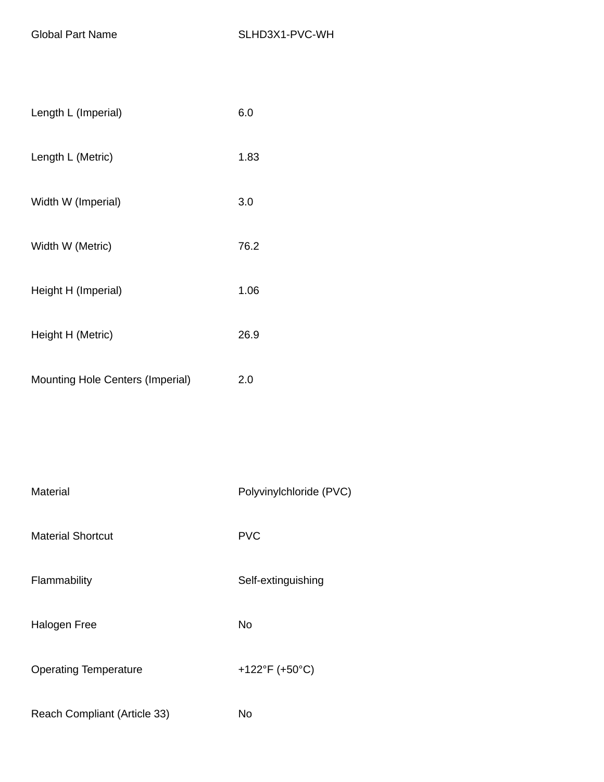| Length L (Imperial)                     | 6.0  |
|-----------------------------------------|------|
| Length L (Metric)                       | 1.83 |
| Width W (Imperial)                      | 3.0  |
| Width W (Metric)                        | 76.2 |
| Height H (Imperial)                     | 1.06 |
| Height H (Metric)                       | 26.9 |
| <b>Mounting Hole Centers (Imperial)</b> | 2.0  |

| Material                     | Polyvinylchloride (PVC) |
|------------------------------|-------------------------|
| <b>Material Shortcut</b>     | <b>PVC</b>              |
| Flammability                 | Self-extinguishing      |
| Halogen Free                 | No                      |
| <b>Operating Temperature</b> | +122°F (+50°C)          |
| Reach Compliant (Article 33) | No                      |